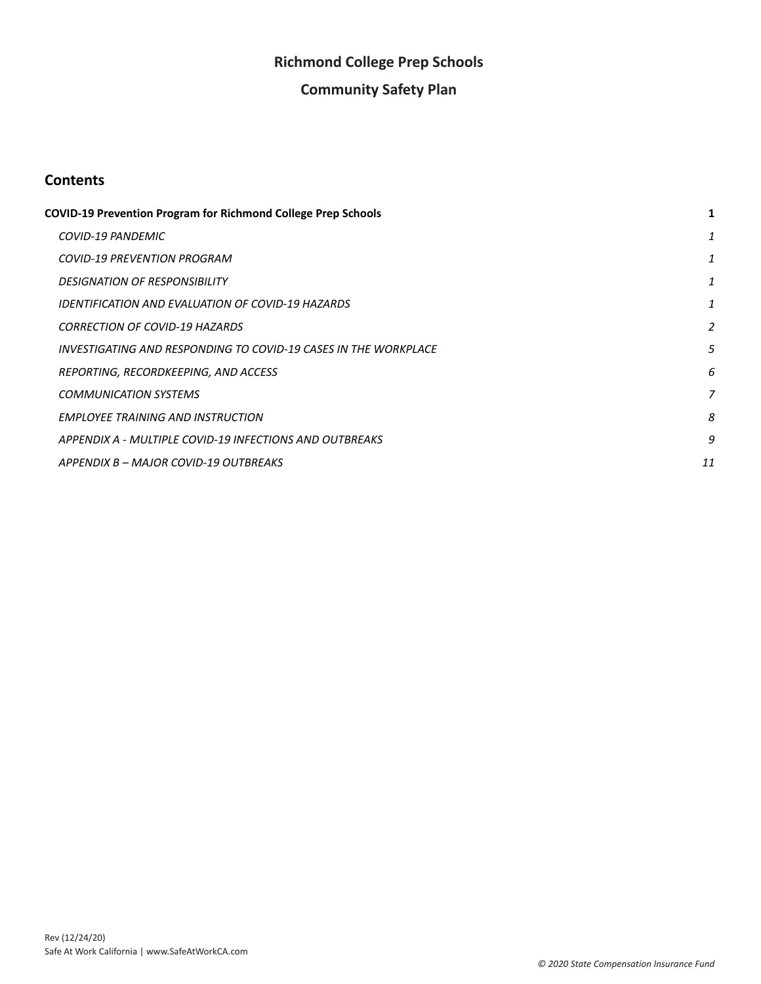# **Richmond College Prep Schools**

# **Community Safety Plan**

# **Contents**

| <b>COVID-19 Prevention Program for Richmond College Prep Schools</b> |    |
|----------------------------------------------------------------------|----|
| <b>COVID-19 PANDEMIC</b>                                             | 1  |
| <b>COVID-19 PREVENTION PROGRAM</b>                                   | 1  |
| <b>DESIGNATION OF RESPONSIBILITY</b>                                 | 1  |
| IDENTIFICATION AND EVALUATION OF COVID-19 HAZARDS                    | 1  |
| <b>CORRECTION OF COVID-19 HAZARDS</b>                                | 2  |
| INVESTIGATING AND RESPONDING TO COVID-19 CASES IN THE WORKPLACE      | 5  |
| REPORTING, RECORDKEEPING, AND ACCESS                                 | 6  |
| <b>COMMUNICATION SYSTEMS</b>                                         | 7  |
| <b>EMPLOYEE TRAINING AND INSTRUCTION</b>                             | 8  |
| APPENDIX A - MULTIPLE COVID-19 INFECTIONS AND OUTBREAKS              | 9  |
| APPENDIX B - MAJOR COVID-19 OUTBREAKS                                | 11 |
|                                                                      |    |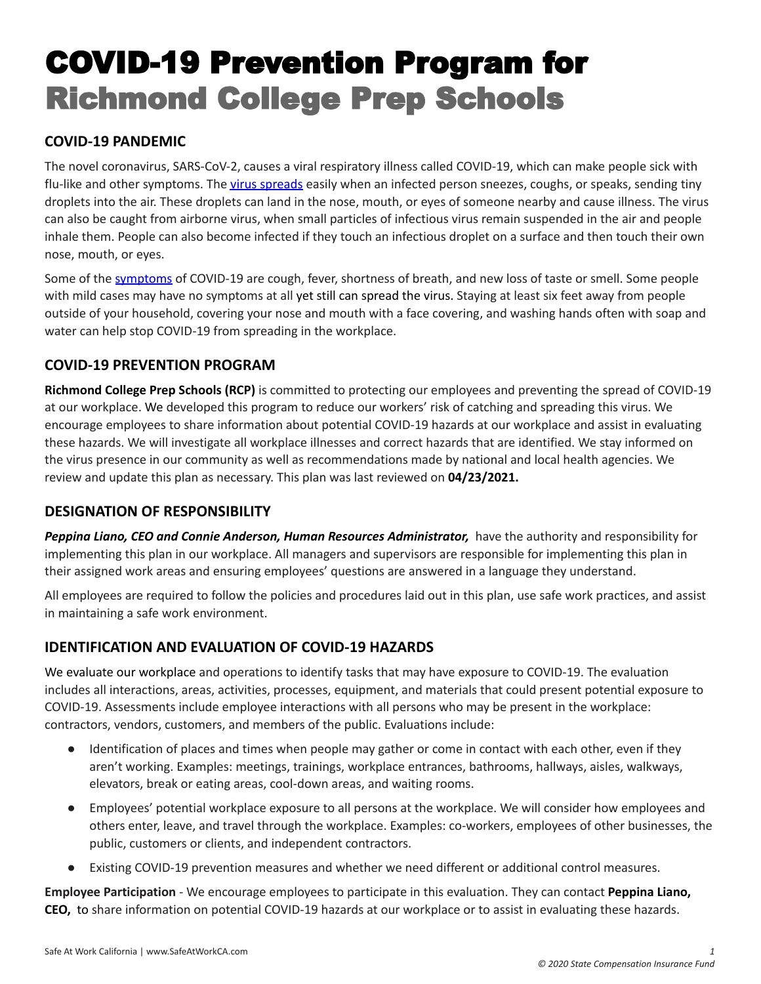# <span id="page-1-0"></span>COVID-19 Prevention Program for Richmond College Prep Schools

# <span id="page-1-1"></span>**COVID-19 PANDEMIC**

The novel coronavirus, SARS-CoV-2, causes a viral respiratory illness called COVID-19, which can make people sick with flu-like and other symptoms. The virus [spreads](https://www.cdc.gov/coronavirus/2019-ncov/prevent-getting-sick/prevention.html) easily when an infected person sneezes, coughs, or speaks, sending tiny droplets into the air. These droplets can land in the nose, mouth, or eyes of someone nearby and cause illness. The virus can also be caught from airborne virus, when small particles of infectious virus remain suspended in the air and people inhale them. People can also become infected if they touch an infectious droplet on a surface and then touch their own nose, mouth, or eyes.

Some of the [symptoms](https://www.cdc.gov/coronavirus/2019-ncov/symptoms-testing/symptoms.html) of COVID-19 are cough, fever, shortness of breath, and new loss of taste or smell. Some people with mild cases may have no symptoms at all yet still can spread the virus. Staying at least six feet away from people outside of your household, covering your nose and mouth with a face covering, and washing hands often with soap and water can help stop COVID-19 from spreading in the workplace.

# <span id="page-1-2"></span>**COVID-19 PREVENTION PROGRAM**

**Richmond College Prep Schools (RCP)** is committed to protecting our employees and preventing the spread of COVID-19 at our workplace. We developed this program to reduce our workers' risk of catching and spreading this virus. We encourage employees to share information about potential COVID-19 hazards at our workplace and assist in evaluating these hazards. We will investigate all workplace illnesses and correct hazards that are identified. We stay informed on the virus presence in our community as well as recommendations made by national and local health agencies. We review and update this plan as necessary. This plan was last reviewed on **04/23/2021.**

# <span id="page-1-3"></span>**DESIGNATION OF RESPONSIBILITY**

*Peppina Liano, CEO and Connie Anderson, Human Resources Administrator,* have the authority and responsibility for implementing this plan in our workplace. All managers and supervisors are responsible for implementing this plan in their assigned work areas and ensuring employees' questions are answered in a language they understand.

All employees are required to follow the policies and procedures laid out in this plan, use safe work practices, and assist in maintaining a safe work environment.

# <span id="page-1-4"></span>**IDENTIFICATION AND EVALUATION OF COVID-19 HAZARDS**

We evaluate our workplace and operations to identify tasks that may have exposure to COVID-19. The evaluation includes all interactions, areas, activities, processes, equipment, and materials that could present potential exposure to COVID-19. Assessments include employee interactions with all persons who may be present in the workplace: contractors, vendors, customers, and members of the public. Evaluations include:

- Identification of places and times when people may gather or come in contact with each other, even if they aren't working. Examples: meetings, trainings, workplace entrances, bathrooms, hallways, aisles, walkways, elevators, break or eating areas, cool-down areas, and waiting rooms.
- Employees' potential workplace exposure to all persons at the workplace. We will consider how employees and others enter, leave, and travel through the workplace. Examples: co-workers, employees of other businesses, the public, customers or clients, and independent contractors.
- Existing COVID-19 prevention measures and whether we need different or additional control measures.

**Employee Participation** - We encourage employees to participate in this evaluation. They can contact **Peppina Liano, CEO,** to share information on potential COVID-19 hazards at our workplace or to assist in evaluating these hazards.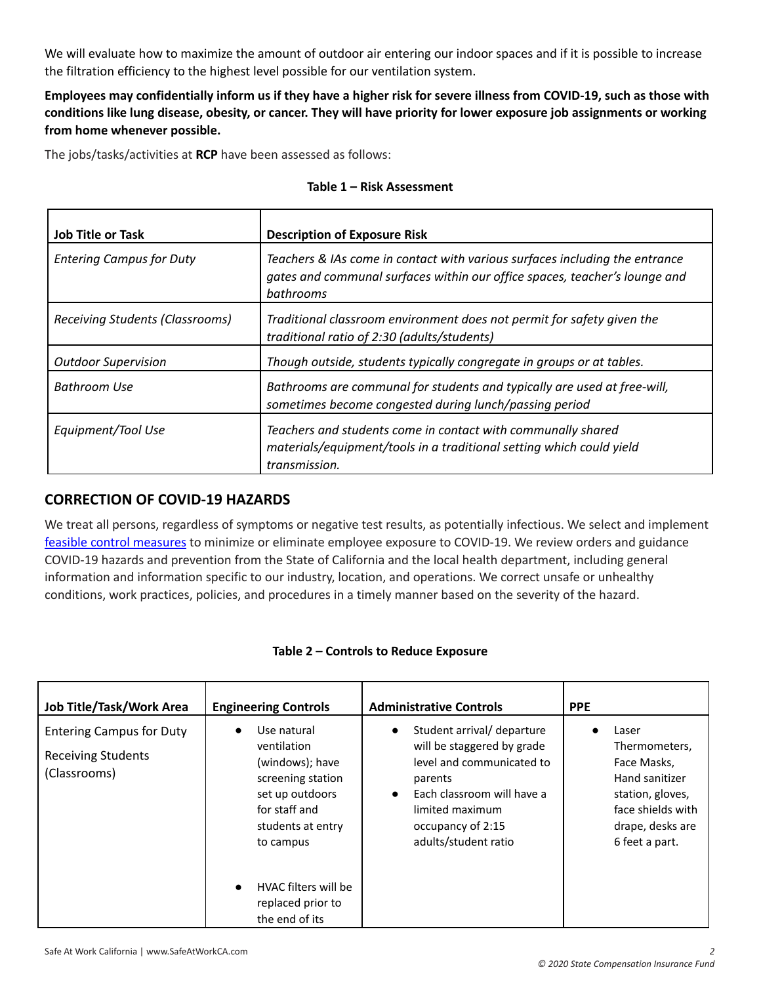We will evaluate how to maximize the amount of outdoor air entering our indoor spaces and if it is possible to increase the filtration efficiency to the highest level possible for our ventilation system.

Employees may confidentially inform us if they have a higher risk for severe illness from COVID-19, such as those with conditions like lung disease, obesity, or cancer. They will have priority for lower exposure job assignments or working **from home whenever possible.**

The jobs/tasks/activities at **RCP** have been assessed as follows:

|  |  |  | Table 1 - Risk Assessment |
|--|--|--|---------------------------|
|--|--|--|---------------------------|

| <b>Job Title or Task</b>               | <b>Description of Exposure Risk</b>                                                                                                                                    |
|----------------------------------------|------------------------------------------------------------------------------------------------------------------------------------------------------------------------|
| <b>Entering Campus for Duty</b>        | Teachers & IAs come in contact with various surfaces including the entrance<br>gates and communal surfaces within our office spaces, teacher's lounge and<br>bathrooms |
| <b>Receiving Students (Classrooms)</b> | Traditional classroom environment does not permit for safety given the<br>traditional ratio of 2:30 (adults/students)                                                  |
| <b>Outdoor Supervision</b>             | Though outside, students typically congregate in groups or at tables.                                                                                                  |
| Bathroom Use                           | Bathrooms are communal for students and typically are used at free-will,<br>sometimes become congested during lunch/passing period                                     |
| Equipment/Tool Use                     | Teachers and students come in contact with communally shared<br>materials/equipment/tools in a traditional setting which could yield<br>transmission.                  |

# <span id="page-2-0"></span>**CORRECTION OF COVID-19 HAZARDS**

We treat all persons, regardless of symptoms or negative test results, as potentially infectious. We select and implement feasible control [measures](https://www.safeatworkca.com/safety-articles/control-measures-for-covid-19/) to minimize or eliminate employee exposure to COVID-19. We review orders and guidance COVID-19 hazards and prevention from the State of California and the local health department, including general information and information specific to our industry, location, and operations. We correct unsafe or unhealthy conditions, work practices, policies, and procedures in a timely manner based on the severity of the hazard.

| Job Title/Task/Work Area                                                                                                             | <b>Engineering Controls</b>                                                                   | <b>Administrative Controls</b>                                                                                                                                                                              | <b>PPE</b>                                                                                                                             |
|--------------------------------------------------------------------------------------------------------------------------------------|-----------------------------------------------------------------------------------------------|-------------------------------------------------------------------------------------------------------------------------------------------------------------------------------------------------------------|----------------------------------------------------------------------------------------------------------------------------------------|
| Use natural<br><b>Entering Campus for Duty</b><br>$\bullet$<br>ventilation<br><b>Receiving Students</b><br>(Classrooms)<br>to campus | (windows); have<br>screening station<br>set up outdoors<br>for staff and<br>students at entry | Student arrival/ departure<br>$\bullet$<br>will be staggered by grade<br>level and communicated to<br>parents<br>Each classroom will have a<br>limited maximum<br>occupancy of 2:15<br>adults/student ratio | Laser<br>Thermometers,<br>Face Masks,<br>Hand sanitizer<br>station, gloves,<br>face shields with<br>drape, desks are<br>6 feet a part. |
|                                                                                                                                      | HVAC filters will be<br>$\bullet$<br>replaced prior to<br>the end of its                      |                                                                                                                                                                                                             |                                                                                                                                        |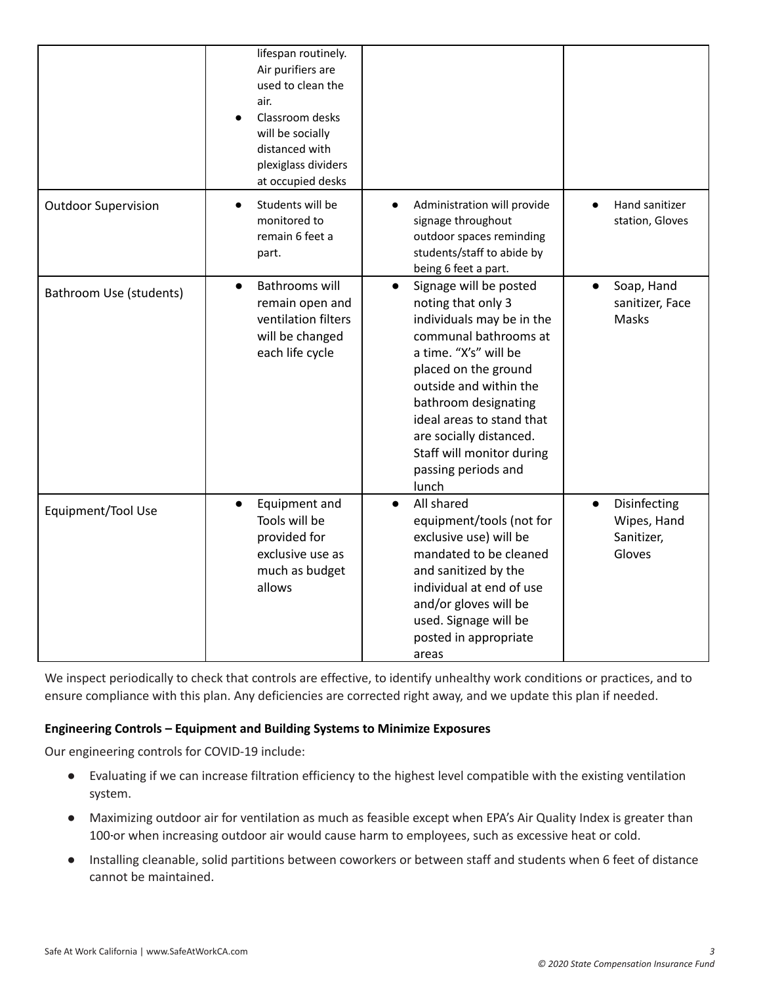|                            | lifespan routinely.<br>Air purifiers are<br>used to clean the<br>air.<br>Classroom desks<br>will be socially<br>distanced with<br>plexiglass dividers<br>at occupied desks |                                                                                                                                                                                                                                                                                                                                         |                                                                  |
|----------------------------|----------------------------------------------------------------------------------------------------------------------------------------------------------------------------|-----------------------------------------------------------------------------------------------------------------------------------------------------------------------------------------------------------------------------------------------------------------------------------------------------------------------------------------|------------------------------------------------------------------|
| <b>Outdoor Supervision</b> | Students will be<br>$\bullet$<br>monitored to<br>remain 6 feet a<br>part.                                                                                                  | Administration will provide<br>signage throughout<br>outdoor spaces reminding<br>students/staff to abide by<br>being 6 feet a part.                                                                                                                                                                                                     | Hand sanitizer<br>station, Gloves                                |
| Bathroom Use (students)    | <b>Bathrooms will</b><br>$\bullet$<br>remain open and<br>ventilation filters<br>will be changed<br>each life cycle                                                         | Signage will be posted<br>$\bullet$<br>noting that only 3<br>individuals may be in the<br>communal bathrooms at<br>a time. "X's" will be<br>placed on the ground<br>outside and within the<br>bathroom designating<br>ideal areas to stand that<br>are socially distanced.<br>Staff will monitor during<br>passing periods and<br>lunch | Soap, Hand<br>$\bullet$<br>sanitizer, Face<br>Masks              |
| Equipment/Tool Use         | Equipment and<br>$\bullet$<br>Tools will be<br>provided for<br>exclusive use as<br>much as budget<br>allows                                                                | All shared<br>$\bullet$<br>equipment/tools (not for<br>exclusive use) will be<br>mandated to be cleaned<br>and sanitized by the<br>individual at end of use<br>and/or gloves will be<br>used. Signage will be<br>posted in appropriate<br>areas                                                                                         | Disinfecting<br>$\bullet$<br>Wipes, Hand<br>Sanitizer,<br>Gloves |

We inspect periodically to check that controls are effective, to identify unhealthy work conditions or practices, and to ensure compliance with this plan. Any deficiencies are corrected right away, and we update this plan if needed.

## **Engineering Controls – Equipment and Building Systems to Minimize Exposures**

Our engineering controls for COVID-19 include:

- Evaluating if we can increase filtration efficiency to the highest level compatible with the existing ventilation system.
- Maximizing outdoor air for ventilation as much as feasible except when EPA's Air Quality Index is greater than 100-or when increasing outdoor air would cause harm to employees, such as excessive heat or cold.
- Installing cleanable, solid partitions between coworkers or between staff and students when 6 feet of distance cannot be maintained.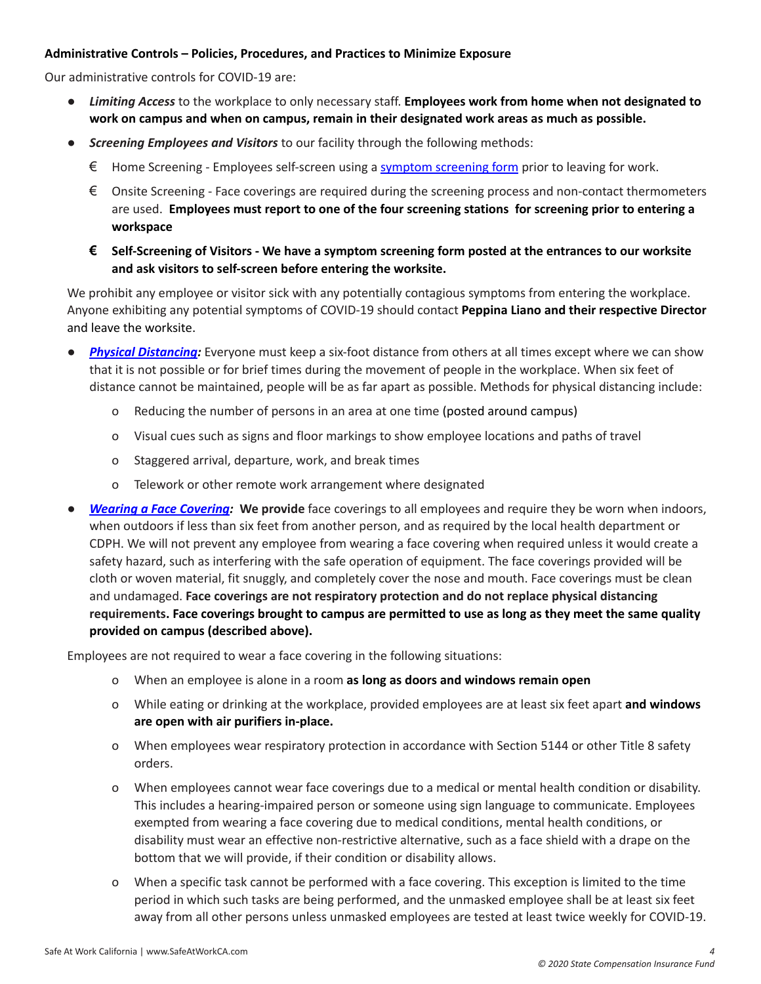#### **Administrative Controls – Policies, Procedures, and Practices to Minimize Exposure**

Our administrative controls for COVID-19 are:

- *Limiting Access* to the workplace to only necessary staff. **Employees work from home when not designated to work on campus and when on campus, remain in their designated work areas as much as possible.**
- *Screening Employees and Visitors* to our facility through the following methods:
	- $\epsilon$  Home Screening Employees self-screen using a symptom [screening](https://www.safeatworkca.com/globalassets/safety-resource-library/publications/covid-19-symptom-screening-procedures.docx) form prior to leaving for work.
	- $\epsilon$  Onsite Screening Face coverings are required during the screening process and non-contact thermometers are used. **Employees must report to one of the four screening stations for screening prior to entering a workspace**
	- $\epsilon$  Self-Screening of Visitors We have a symptom screening form posted at the entrances to our worksite **and ask visitors to self-screen before entering the worksite.**

We prohibit any employee or visitor sick with any potentially contagious symptoms from entering the workplace. Anyone exhibiting any potential symptoms of COVID-19 should contact **Peppina Liano and their respective Director** and leave the worksite.

- **Physical [Distancing](https://www.cdc.gov/coronavirus/2019-ncov/prevent-getting-sick/social-distancing.html)**: Everyone must keep a six-foot distance from others at all times except where we can show that it is not possible or for brief times during the movement of people in the workplace. When six feet of distance cannot be maintained, people will be as far apart as possible. Methods for physical distancing include:
	- o Reducing the number of persons in an area at one time (posted around campus)
	- o Visual cues such as signs and floor markings to show employee locations and paths of travel
	- o Staggered arrival, departure, work, and break times
	- o Telework or other remote work arrangement where designated
- *Wearing a Face [Covering:](https://covid19.ca.gov/masks-and-ppe/)* **We provide** face coverings to all employees and require they be worn when indoors, when outdoors if less than six feet from another person, and as required by the local health department or CDPH. We will not prevent any employee from wearing a face covering when required unless it would create a safety hazard, such as interfering with the safe operation of equipment. The face coverings provided will be cloth or woven material, fit snuggly, and completely cover the nose and mouth. Face coverings must be clean and undamaged. **Face coverings are not respiratory protection and do not replace physical distancing** requirements. Face coverings brought to campus are permitted to use as long as they meet the same quality **provided on campus (described above).**

Employees are not required to wear a face covering in the following situations:

- o When an employee is alone in a room **as long as doors and windows remain open**
- o While eating or drinking at the workplace, provided employees are at least six feet apart **and windows are open with air purifiers in-place.**
- o When employees wear respiratory protection in accordance with Section 5144 or other Title 8 safety orders.
- o When employees cannot wear face coverings due to a medical or mental health condition or disability. This includes a hearing-impaired person or someone using sign language to communicate. Employees exempted from wearing a face covering due to medical conditions, mental health conditions, or disability must wear an effective non-restrictive alternative, such as a face shield with a drape on the bottom that we will provide, if their condition or disability allows.
- o When a specific task cannot be performed with a face covering. This exception is limited to the time period in which such tasks are being performed, and the unmasked employee shall be at least six feet away from all other persons unless unmasked employees are tested at least twice weekly for COVID-19.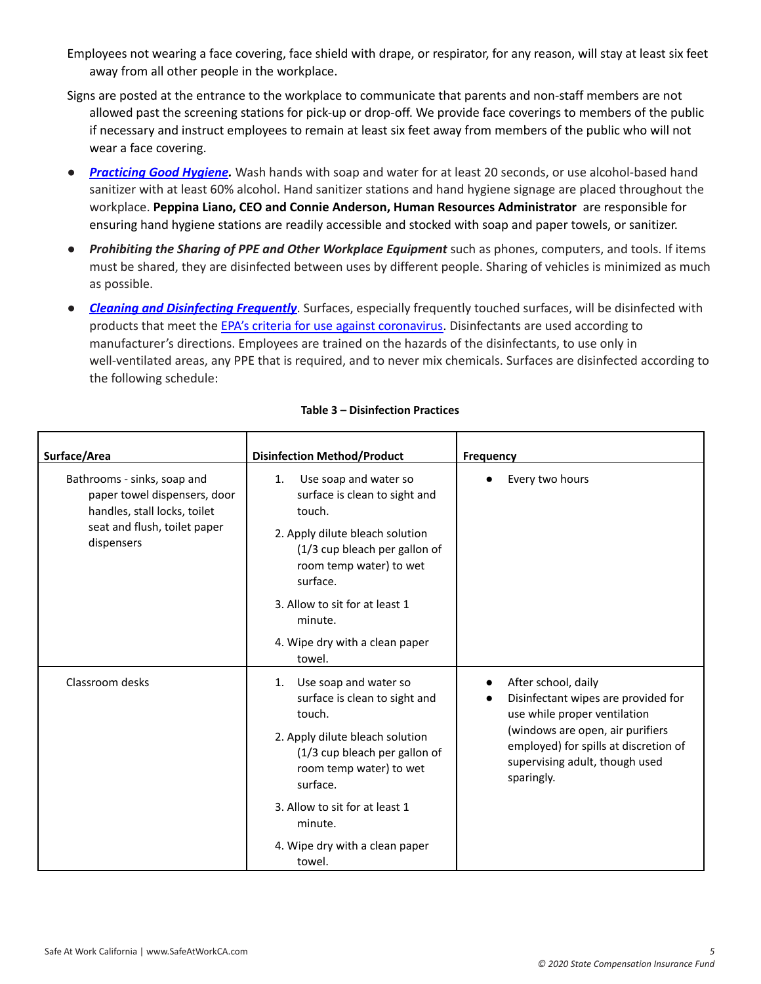- Employees not wearing a face covering, face shield with drape, or respirator, for any reason, will stay at least six feet away from all other people in the workplace.
- Signs are posted at the entrance to the workplace to communicate that parents and non-staff members are not allowed past the screening stations for pick-up or drop-off. We provide face coverings to members of the public if necessary and instruct employees to remain at least six feet away from members of the public who will not wear a face covering.
- *[Practicing](https://www.cdc.gov/handwashing/index.html) Good Hygiene.* Wash hands with soap and water for at least 20 seconds, or use alcohol-based hand sanitizer with at least 60% alcohol. Hand sanitizer stations and hand hygiene signage are placed throughout the workplace. **Peppina Liano, CEO and Connie Anderson, Human Resources Administrator** are responsible for ensuring hand hygiene stations are readily accessible and stocked with soap and paper towels, or sanitizer.
- *Prohibiting the Sharing of PPE and Other Workplace Equipment* such as phones, computers, and tools. If items must be shared, they are disinfected between uses by different people. Sharing of vehicles is minimized as much as possible.
- *Cleaning and [Disinfecting](https://www.cdc.gov/coronavirus/2019-ncov/community/disinfecting-building-facility.html) Frequently*. Surfaces, especially frequently touched surfaces, will be disinfected with products that meet the EPA's criteria for use against [coronavirus.](https://www.epa.gov/pesticide-registration/list-n-disinfectants-coronavirus-covid-19) Disinfectants are used according to manufacturer's directions. Employees are trained on the hazards of the disinfectants, to use only in well-ventilated areas, any PPE that is required, and to never mix chemicals. Surfaces are disinfected according to the following schedule:

| Surface/Area                                                                                                                              | <b>Disinfection Method/Product</b>                                                                                                                                                            | <b>Frequency</b>                                                                                                               |  |
|-------------------------------------------------------------------------------------------------------------------------------------------|-----------------------------------------------------------------------------------------------------------------------------------------------------------------------------------------------|--------------------------------------------------------------------------------------------------------------------------------|--|
| Bathrooms - sinks, soap and<br>paper towel dispensers, door<br>handles, stall locks, toilet<br>seat and flush, toilet paper<br>dispensers | Use soap and water so<br>$\mathbf{1}$ .<br>surface is clean to sight and<br>touch.<br>2. Apply dilute bleach solution<br>(1/3 cup bleach per gallon of<br>room temp water) to wet<br>surface. | Every two hours                                                                                                                |  |
|                                                                                                                                           | 3. Allow to sit for at least 1<br>minute.                                                                                                                                                     |                                                                                                                                |  |
|                                                                                                                                           | 4. Wipe dry with a clean paper<br>towel.                                                                                                                                                      |                                                                                                                                |  |
| Classroom desks                                                                                                                           | Use soap and water so<br>1.<br>surface is clean to sight and<br>touch.                                                                                                                        | After school, daily<br>Disinfectant wipes are provided for<br>use while proper ventilation<br>(windows are open, air purifiers |  |
|                                                                                                                                           | 2. Apply dilute bleach solution<br>(1/3 cup bleach per gallon of<br>room temp water) to wet<br>surface.                                                                                       | employed) for spills at discretion of<br>supervising adult, though used<br>sparingly.                                          |  |
|                                                                                                                                           | 3. Allow to sit for at least 1<br>minute.                                                                                                                                                     |                                                                                                                                |  |
|                                                                                                                                           | 4. Wipe dry with a clean paper<br>towel.                                                                                                                                                      |                                                                                                                                |  |

#### **Table 3 – Disinfection Practices**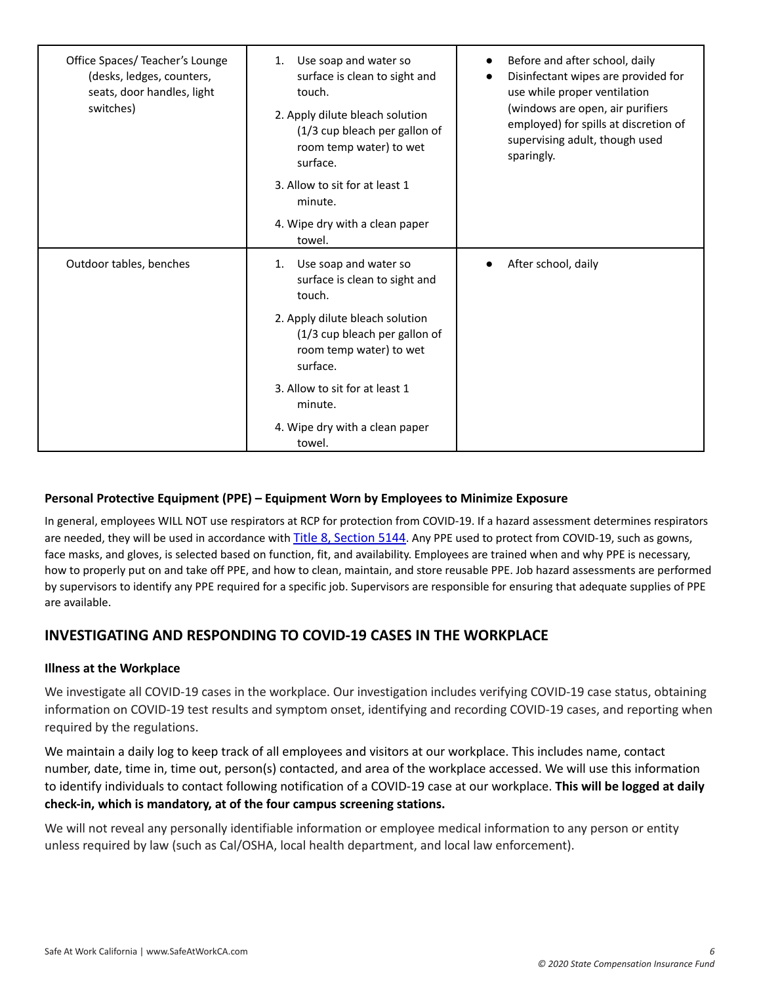| Office Spaces/ Teacher's Lounge<br>(desks, ledges, counters,<br>seats, door handles, light<br>switches) | Use soap and water so<br>1.<br>surface is clean to sight and<br>touch.<br>2. Apply dilute bleach solution<br>(1/3 cup bleach per gallon of<br>room temp water) to wet<br>surface. | Before and after school, daily<br>$\bullet$<br>Disinfectant wipes are provided for<br>use while proper ventilation<br>(windows are open, air purifiers<br>employed) for spills at discretion of<br>supervising adult, though used<br>sparingly. |
|---------------------------------------------------------------------------------------------------------|-----------------------------------------------------------------------------------------------------------------------------------------------------------------------------------|-------------------------------------------------------------------------------------------------------------------------------------------------------------------------------------------------------------------------------------------------|
|                                                                                                         | 3. Allow to sit for at least 1<br>minute.                                                                                                                                         |                                                                                                                                                                                                                                                 |
|                                                                                                         | 4. Wipe dry with a clean paper<br>towel.                                                                                                                                          |                                                                                                                                                                                                                                                 |
| Outdoor tables, benches                                                                                 | 1. Use soap and water so<br>surface is clean to sight and<br>touch.                                                                                                               | After school, daily                                                                                                                                                                                                                             |
|                                                                                                         | 2. Apply dilute bleach solution<br>(1/3 cup bleach per gallon of<br>room temp water) to wet<br>surface.                                                                           |                                                                                                                                                                                                                                                 |
|                                                                                                         | 3. Allow to sit for at least 1<br>minute.                                                                                                                                         |                                                                                                                                                                                                                                                 |
|                                                                                                         | 4. Wipe dry with a clean paper<br>towel.                                                                                                                                          |                                                                                                                                                                                                                                                 |

# **Personal Protective Equipment (PPE) – Equipment Worn by Employees to Minimize Exposure**

In general, employees WILL NOT use respirators at RCP for protection from COVID-19. If a hazard assessment determines respirators are needed, they will be used in accordance with Title 8, [Section](https://www.dir.ca.gov/title8/5144.html) 5144. Any PPE used to protect from COVID-19, such as gowns, face masks, and gloves, is selected based on function, fit, and availability. Employees are trained when and why PPE is necessary, how to properly put on and take off PPE, and how to clean, maintain, and store reusable PPE. Job hazard assessments are performed by supervisors to identify any PPE required for a specific job. Supervisors are responsible for ensuring that adequate supplies of PPE are available.

# <span id="page-6-0"></span>**INVESTIGATING AND RESPONDING TO COVID-19 CASES IN THE WORKPLACE**

## **Illness at the Workplace**

We investigate all COVID-19 cases in the workplace. Our investigation includes verifying COVID-19 case status, obtaining information on COVID-19 test results and symptom onset, identifying and recording COVID-19 cases, and reporting when required by the regulations.

We maintain a daily log to keep track of all employees and visitors at our workplace. This includes name, contact number, date, time in, time out, person(s) contacted, and area of the workplace accessed. We will use this information to identify individuals to contact following notification of a COVID-19 case at our workplace. **This will be logged at daily check-in, which is mandatory, at of the four campus screening stations.**

We will not reveal any personally identifiable information or employee medical information to any person or entity unless required by law (such as Cal/OSHA, local health department, and local law enforcement).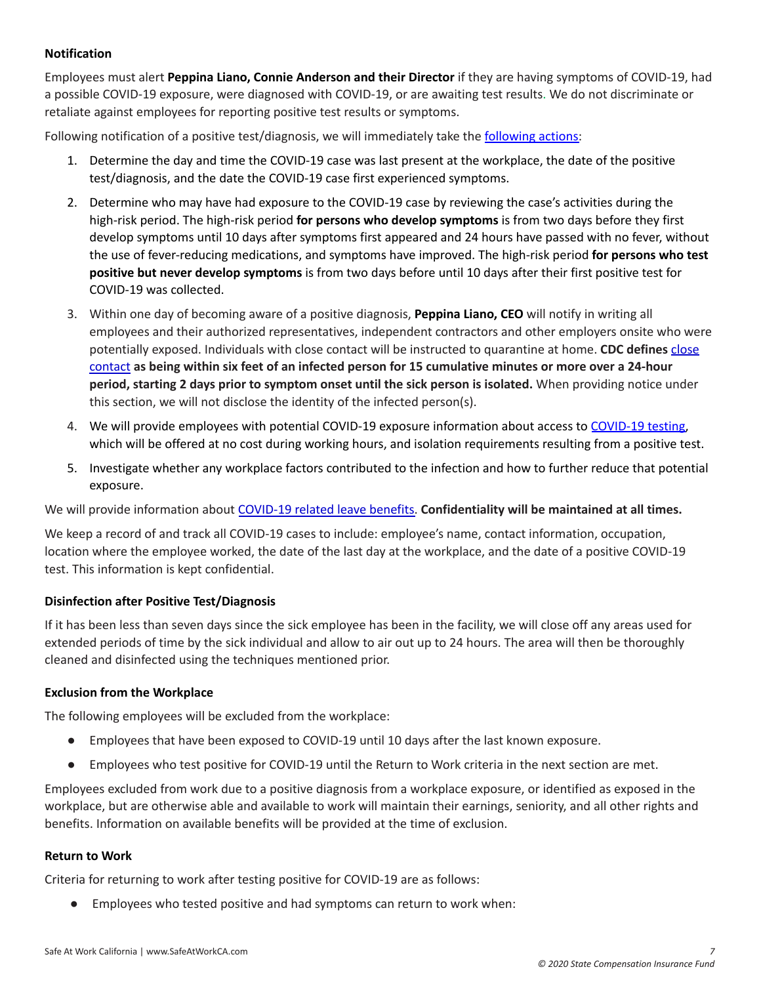## **Notification**

Employees must alert **Peppina Liano, Connie Anderson and their Director** if they are having symptoms of COVID-19, had a possible COVID-19 exposure, were diagnosed with COVID-19, or are awaiting test results. We do not discriminate or retaliate against employees for reporting positive test results or symptoms.

Following notification of a positive test/diagnosis, we will immediately take the **[following](https://www.safeatworkca.com/globalassets/safety-resource-library/publications/covid-19-illness-and-exposure-response.pdf) actions**:

- 1. Determine the day and time the COVID-19 case was last present at the workplace, the date of the positive test/diagnosis, and the date the COVID-19 case first experienced symptoms.
- 2. Determine who may have had exposure to the COVID-19 case by reviewing the case's activities during the high-risk period. The high-risk period **for persons who develop symptoms** is from two days before they first develop symptoms until 10 days after symptoms first appeared and 24 hours have passed with no fever, without the use of fever-reducing medications, and symptoms have improved. The high-risk period **for persons who test positive but never develop symptoms** is from two days before until 10 days after their first positive test for COVID-19 was collected.
- 3. Within one day of becoming aware of a positive diagnosis, **Peppina Liano, CEO** will notify in writing all employees and their authorized representatives, independent contractors and other employers onsite who were potentially exposed. Individuals with close contact will be instructed to quarantine at home. **CDC defines** [close](https://www.cdc.gov/coronavirus/2019-ncov/php/contact-tracing/contact-tracing-plan/appendix.html#contact) [contact](https://www.cdc.gov/coronavirus/2019-ncov/php/contact-tracing/contact-tracing-plan/appendix.html#contact) as being within six feet of an infected person for 15 cumulative minutes or more over a 24-hour **period, starting 2 days prior to symptom onset until the sick person is isolated.** When providing notice under this section, we will not disclose the identity of the infected person(s).
- 4. We will provide employees with potential COVID-19 exposure information about access to [COVID-19](https://www.safeatworkca.com/globalassets/safety-resource-library/publications/covid-19-testing-requirements.pdf) testing, which will be offered at no cost during working hours, and isolation requirements resulting from a positive test.
- 5. Investigate whether any workplace factors contributed to the infection and how to further reduce that potential exposure.

We will provide information about [COVID-19](https://www.dir.ca.gov/dlse/Comparison-COVID-19-Paid-Leave.html) related leave benefits. **Confidentiality will be maintained at all times.**

We keep a record of and track all COVID-19 cases to include: employee's name, contact information, occupation, location where the employee worked, the date of the last day at the workplace, and the date of a positive COVID-19 test. This information is kept confidential.

## **Disinfection after Positive Test/Diagnosis**

If it has been less than seven days since the sick employee has been in the facility, we will close off any areas used for extended periods of time by the sick individual and allow to air out up to 24 hours. The area will then be thoroughly cleaned and disinfected using the techniques mentioned prior.

#### **Exclusion from the Workplace**

The following employees will be excluded from the workplace:

- Employees that have been exposed to COVID-19 until 10 days after the last known exposure.
- Employees who test positive for COVID-19 until the Return to Work criteria in the next section are met.

Employees excluded from work due to a positive diagnosis from a workplace exposure, or identified as exposed in the workplace, but are otherwise able and available to work will maintain their earnings, seniority, and all other rights and benefits. Information on available benefits will be provided at the time of exclusion.

#### **Return to Work**

Criteria for returning to work after testing positive for COVID-19 are as follows:

● Employees who tested positive and had symptoms can return to work when: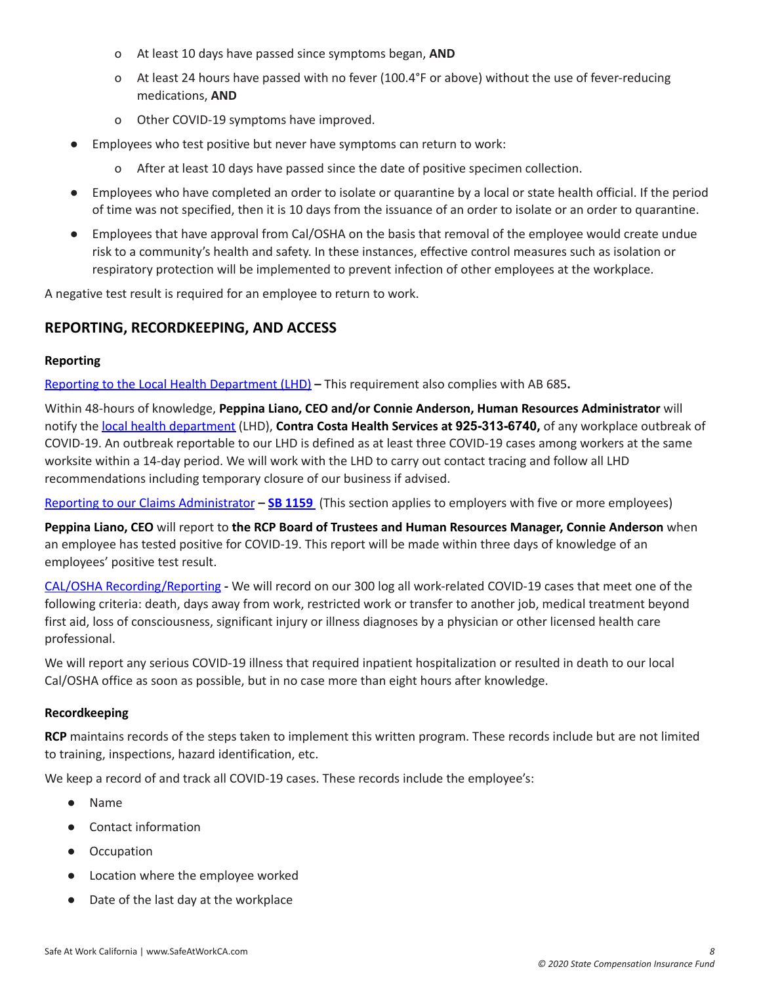- o At least 10 days have passed since symptoms began, **AND**
- o At least 24 hours have passed with no fever (100.4°F or above) without the use of fever-reducing medications, **AND**
- o Other COVID-19 symptoms have improved.
- Employees who test positive but never have symptoms can return to work:
	- o After at least 10 days have passed since the date of positive specimen collection.
- Employees who have completed an order to isolate or quarantine by a local or state health official. If the period of time was not specified, then it is 10 days from the issuance of an order to isolate or an order to quarantine.
- Employees that have approval from Cal/OSHA on the basis that removal of the employee would create undue risk to a community's health and safety. In these instances, effective control measures such as isolation or respiratory protection will be implemented to prevent infection of other employees at the workplace.

<span id="page-8-0"></span>A negative test result is required for an employee to return to work.

# **REPORTING, RECORDKEEPING, AND ACCESS**

#### **Reporting**

Reporting to the Local Health [Department](https://www.cdph.ca.gov/Programs/CID/DCDC/Pages/COVID-19/Employer-Questions-about-AB-685.aspx) (LHD) **–** This requirement also complies with AB 685**.**

Within 48-hours of knowledge, **Peppina Liano, CEO and/or Connie Anderson, Human Resources Administrator** will notify the local health [department](https://www.cdph.ca.gov/Pages/LocalHealthServicesAndOffices.aspx) (LHD), **Contra Costa Health Services at 925-313-6740,** of any workplace outbreak of COVID-19. An outbreak reportable to our LHD is defined as at least three COVID-19 cases among workers at the same worksite within a 14-day period. We will work with the LHD to carry out contact tracing and follow all LHD recommendations including temporary closure of our business if advised.

Reporting to our Claims [Administrator](https://www.dir.ca.gov/dwc/Covid-19/FAQ-SB-1159.html#:~:text=SB%201159%20provides%20that%20the,employer%20may%20dispute%20that%20conclusion.) **– SB [1159](https://www.statefundca.com/Home/StaticIndex?id=https://content.statefundca.com//employers/SB1159.asp)** (This section applies to employers with five or more employees)

**Peppina Liano, CEO** will report to **the RCP Board of Trustees and Human Resources Manager, Connie Anderson** when an employee has tested positive for COVID-19. This report will be made within three days of knowledge of an employees' positive test result.

CAL/OSHA [Recording/Reporting](https://dir.ca.gov/dosh/coronavirus/Reporting-Requirements-COVID-19.html) **-** We will record on our 300 log all work-related COVID-19 cases that meet one of the following criteria: death, days away from work, restricted work or transfer to another job, medical treatment beyond first aid, loss of consciousness, significant injury or illness diagnoses by a physician or other licensed health care professional.

We will report any serious COVID-19 illness that required inpatient hospitalization or resulted in death to our local Cal/OSHA office as soon as possible, but in no case more than eight hours after knowledge.

#### **Recordkeeping**

**RCP** maintains records of the steps taken to implement this written program. These records include but are not limited to training, inspections, hazard identification, etc.

We keep a record of and track all COVID-19 cases. These records include the employee's:

- Name
- Contact information
- Occupation
- Location where the employee worked
- Date of the last day at the workplace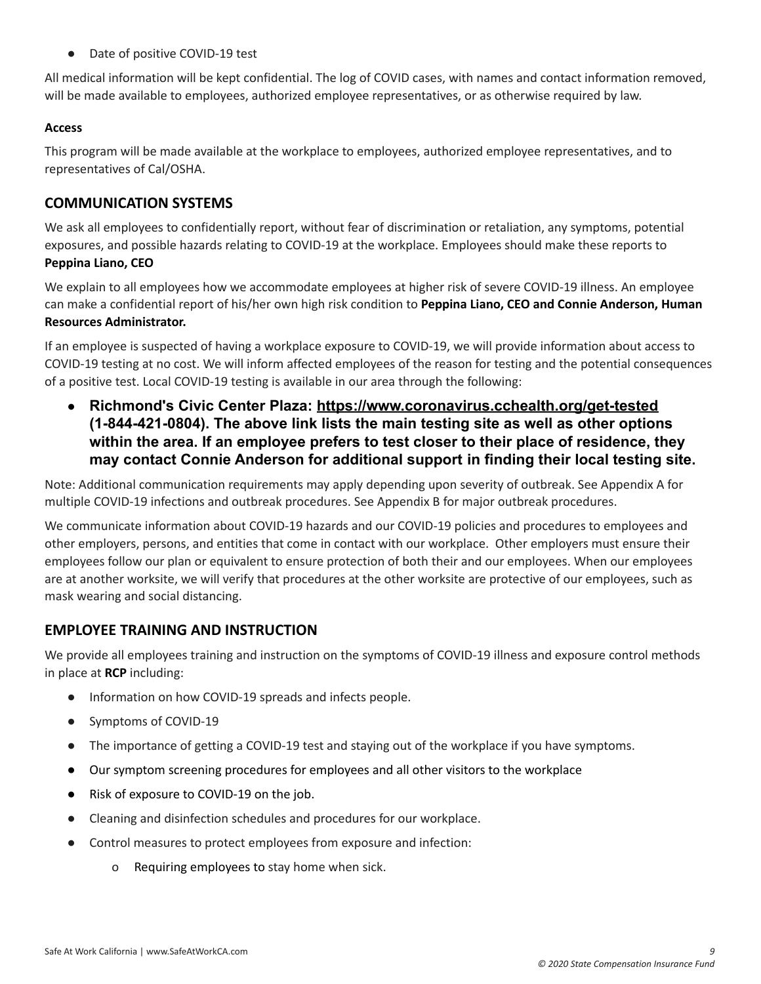● Date of positive COVID-19 test

All medical information will be kept confidential. The log of COVID cases, with names and contact information removed, will be made available to employees, authorized employee representatives, or as otherwise required by law.

## **Access**

This program will be made available at the workplace to employees, authorized employee representatives, and to representatives of Cal/OSHA.

# <span id="page-9-0"></span>**COMMUNICATION SYSTEMS**

We ask all employees to confidentially report, without fear of discrimination or retaliation, any symptoms, potential exposures, and possible hazards relating to COVID-19 at the workplace. Employees should make these reports to **Peppina Liano, CEO**

We explain to all employees how we accommodate employees at higher risk of severe COVID-19 illness. An employee can make a confidential report of his/her own high risk condition to **Peppina Liano, CEO and Connie Anderson, Human Resources Administrator.**

If an employee is suspected of having a workplace exposure to COVID-19, we will provide information about access to COVID-19 testing at no cost. We will inform affected employees of the reason for testing and the potential consequences of a positive test. Local COVID-19 testing is available in our area through the following:

**● Richmond's Civic Center Plaza: <https://www.coronavirus.cchealth.org/get-tested> (1-844-421-0804). The above link lists the main testing site as well as other options within the area. If an employee prefers to test closer to their place of residence, they may contact Connie Anderson for additional support in finding their local testing site.**

Note: Additional communication requirements may apply depending upon severity of outbreak. See Appendix A for multiple COVID-19 infections and outbreak procedures. See Appendix B for major outbreak procedures.

We communicate information about COVID-19 hazards and our COVID-19 policies and procedures to employees and other employers, persons, and entities that come in contact with our workplace. Other employers must ensure their employees follow our plan or equivalent to ensure protection of both their and our employees. When our employees are at another worksite, we will verify that procedures at the other worksite are protective of our employees, such as mask wearing and social distancing.

# <span id="page-9-1"></span>**EMPLOYEE TRAINING AND INSTRUCTION**

We provide all employees training and instruction on the symptoms of COVID-19 illness and exposure control methods in place at **RCP** including:

- Information on how COVID-19 spreads and infects people.
- Symptoms of COVID-19
- The importance of getting a COVID-19 test and staying out of the workplace if you have symptoms.
- Our symptom screening procedures for employees and all other visitors to the workplace
- Risk of exposure to COVID-19 on the job.
- Cleaning and disinfection schedules and procedures for our workplace.
- Control measures to protect employees from exposure and infection:
	- o Requiring employees to stay home when sick.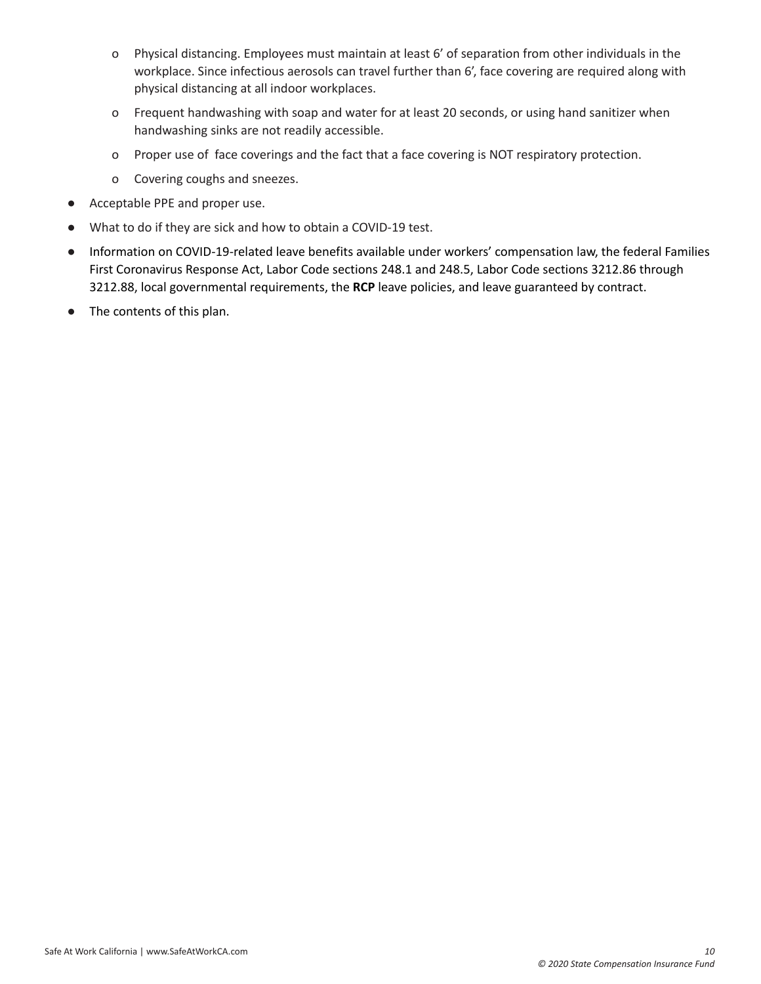- o Physical distancing. Employees must maintain at least 6' of separation from other individuals in the workplace. Since infectious aerosols can travel further than 6', face covering are required along with physical distancing at all indoor workplaces.
- o Frequent handwashing with soap and water for at least 20 seconds, or using hand sanitizer when handwashing sinks are not readily accessible.
- o Proper use of face coverings and the fact that a face covering is NOT respiratory protection.
- o Covering coughs and sneezes.
- Acceptable PPE and proper use.
- What to do if they are sick and how to obtain a COVID-19 test.
- Information on COVID-19-related leave benefits available under workers' compensation law, the federal Families First Coronavirus Response Act, Labor Code sections 248.1 and 248.5, Labor Code sections 3212.86 through 3212.88, local governmental requirements, the **RCP** leave policies, and leave guaranteed by contract.
- The contents of this plan.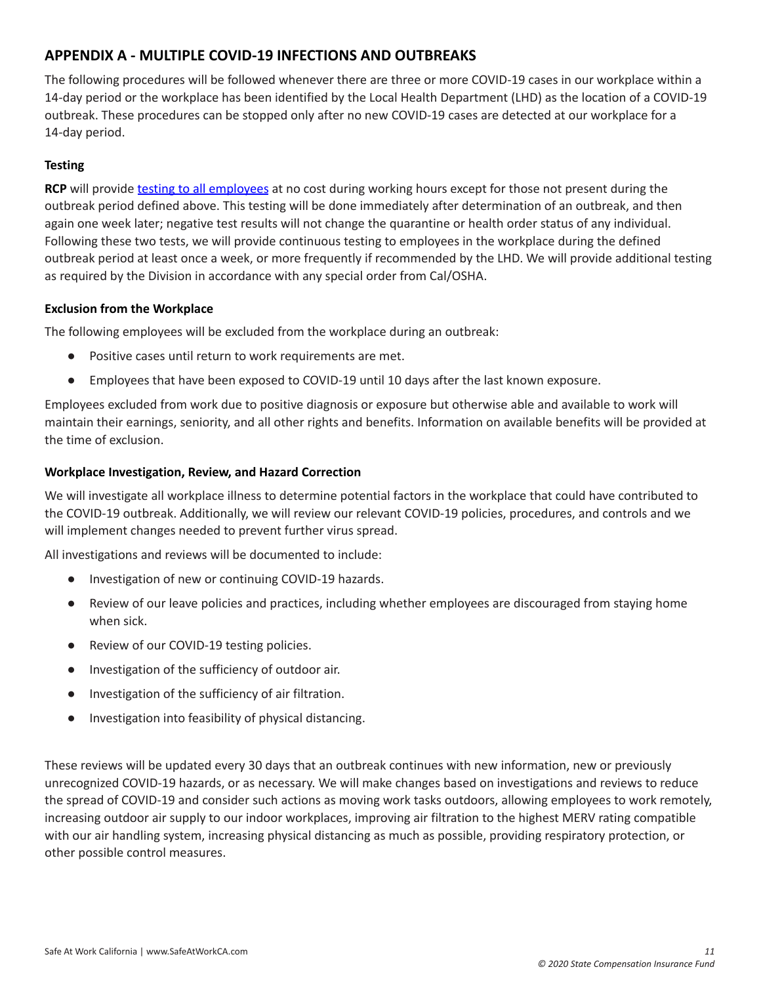# <span id="page-11-0"></span>**APPENDIX A - MULTIPLE COVID-19 INFECTIONS AND OUTBREAKS**

The following procedures will be followed whenever there are three or more COVID-19 cases in our workplace within a 14-day period or the workplace has been identified by the Local Health Department (LHD) as the location of a COVID-19 outbreak. These procedures can be stopped only after no new COVID-19 cases are detected at our workplace for a 14-day period.

## **Testing**

**RCP** will provide testing to all [employees](https://www.safeatworkca.com/globalassets/safety-resource-library/publications/covid-19-testing-requirements.pdf) at no cost during working hours except for those not present during the outbreak period defined above. This testing will be done immediately after determination of an outbreak, and then again one week later; negative test results will not change the quarantine or health order status of any individual. Following these two tests, we will provide continuous testing to employees in the workplace during the defined outbreak period at least once a week, or more frequently if recommended by the LHD. We will provide additional testing as required by the Division in accordance with any special order from Cal/OSHA.

#### **Exclusion from the Workplace**

The following employees will be excluded from the workplace during an outbreak:

- Positive cases until return to work requirements are met.
- Employees that have been exposed to COVID-19 until 10 days after the last known exposure.

Employees excluded from work due to positive diagnosis or exposure but otherwise able and available to work will maintain their earnings, seniority, and all other rights and benefits. Information on available benefits will be provided at the time of exclusion.

## **Workplace Investigation, Review, and Hazard Correction**

We will investigate all workplace illness to determine potential factors in the workplace that could have contributed to the COVID-19 outbreak. Additionally, we will review our relevant COVID-19 policies, procedures, and controls and we will implement changes needed to prevent further virus spread.

All investigations and reviews will be documented to include:

- Investigation of new or continuing COVID-19 hazards.
- Review of our leave policies and practices, including whether employees are discouraged from staying home when sick.
- Review of our COVID-19 testing policies.
- Investigation of the sufficiency of outdoor air.
- Investigation of the sufficiency of air filtration.
- Investigation into feasibility of physical distancing.

These reviews will be updated every 30 days that an outbreak continues with new information, new or previously unrecognized COVID-19 hazards, or as necessary. We will make changes based on investigations and reviews to reduce the spread of COVID-19 and consider such actions as moving work tasks outdoors, allowing employees to work remotely, increasing outdoor air supply to our indoor workplaces, improving air filtration to the highest MERV rating compatible with our air handling system, increasing physical distancing as much as possible, providing respiratory protection, or other possible control measures.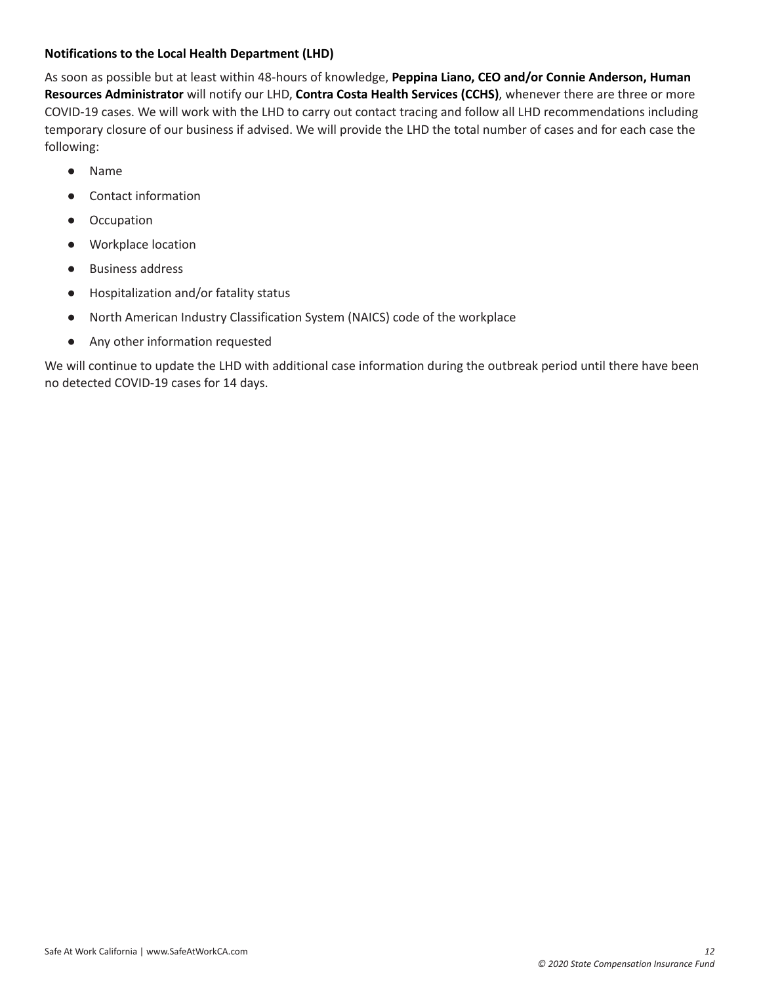## **Notifications to the Local Health Department (LHD)**

As soon as possible but at least within 48-hours of knowledge, **Peppina Liano, CEO and/or Connie Anderson, Human Resources Administrator** will notify our LHD, **Contra Costa Health Services (CCHS)**, whenever there are three or more COVID-19 cases. We will work with the LHD to carry out contact tracing and follow all LHD recommendations including temporary closure of our business if advised. We will provide the LHD the total number of cases and for each case the following:

- Name
- Contact information
- Occupation
- Workplace location
- **Business address**
- Hospitalization and/or fatality status
- North American Industry Classification System (NAICS) code of the workplace
- Any other information requested

We will continue to update the LHD with additional case information during the outbreak period until there have been no detected COVID-19 cases for 14 days.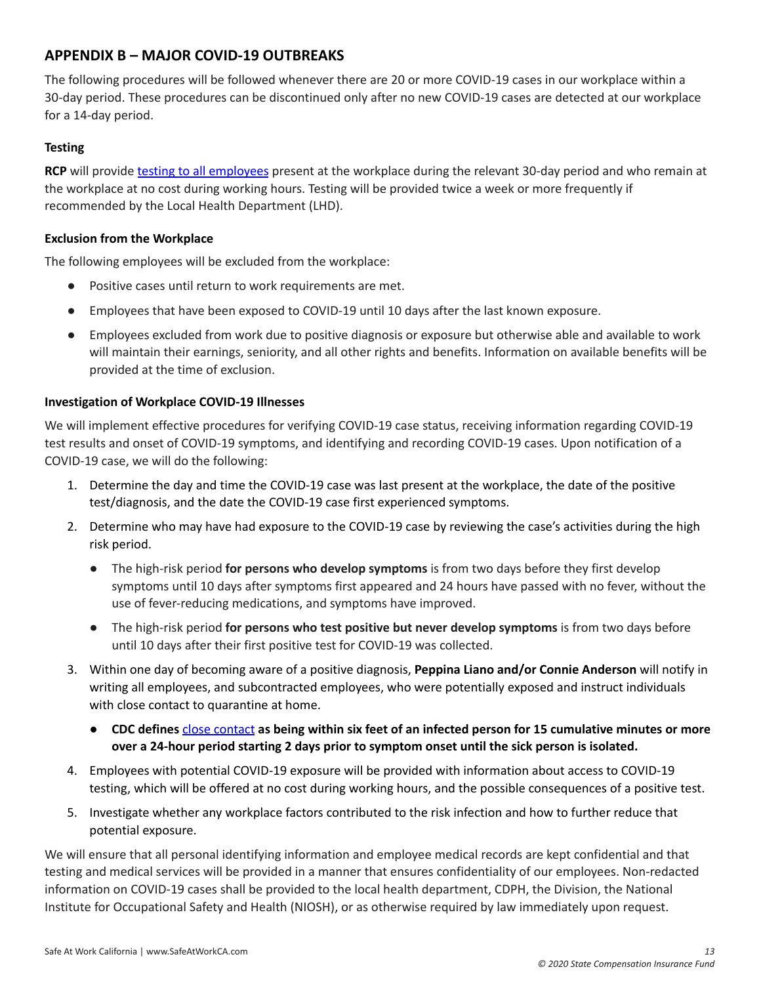# <span id="page-13-0"></span>**APPENDIX B – MAJOR COVID-19 OUTBREAKS**

The following procedures will be followed whenever there are 20 or more COVID-19 cases in our workplace within a 30-day period. These procedures can be discontinued only after no new COVID-19 cases are detected at our workplace for a 14-day period.

# **Testing**

**RCP** will provide testing to all [employees](https://www.safeatworkca.com/globalassets/safety-resource-library/publications/covid-19-testing-requirements.pdf) present at the workplace during the relevant 30-day period and who remain at the workplace at no cost during working hours. Testing will be provided twice a week or more frequently if recommended by the Local Health Department (LHD).

## **Exclusion from the Workplace**

The following employees will be excluded from the workplace:

- Positive cases until return to work requirements are met.
- Employees that have been exposed to COVID-19 until 10 days after the last known exposure.
- Employees excluded from work due to positive diagnosis or exposure but otherwise able and available to work will maintain their earnings, seniority, and all other rights and benefits. Information on available benefits will be provided at the time of exclusion.

## **Investigation of Workplace COVID-19 Illnesses**

We will implement effective procedures for verifying COVID-19 case status, receiving information regarding COVID-19 test results and onset of COVID-19 symptoms, and identifying and recording COVID-19 cases. Upon notification of a COVID-19 case, we will do the following:

- 1. Determine the day and time the COVID-19 case was last present at the workplace, the date of the positive test/diagnosis, and the date the COVID-19 case first experienced symptoms.
- 2. Determine who may have had exposure to the COVID-19 case by reviewing the case's activities during the high risk period.
	- The high-risk period **for persons who develop symptoms** is from two days before they first develop symptoms until 10 days after symptoms first appeared and 24 hours have passed with no fever, without the use of fever-reducing medications, and symptoms have improved.
	- The high-risk period **for persons who test positive but never develop symptoms** is from two days before until 10 days after their first positive test for COVID-19 was collected.
- 3. Within one day of becoming aware of a positive diagnosis, **Peppina Liano and/or Connie Anderson** will notify in writing all employees, and subcontracted employees, who were potentially exposed and instruct individuals with close contact to quarantine at home.
	- CDC defines close [contact](https://www.cdc.gov/coronavirus/2019-ncov/php/contact-tracing/contact-tracing-plan/appendix.html#contact) as being within six feet of an infected person for 15 cumulative minutes or more **over a 24-hour period starting 2 days prior to symptom onset until the sick person is isolated.**
- 4. Employees with potential COVID-19 exposure will be provided with information about access to COVID-19 testing, which will be offered at no cost during working hours, and the possible consequences of a positive test.
- 5. Investigate whether any workplace factors contributed to the risk infection and how to further reduce that potential exposure.

We will ensure that all personal identifying information and employee medical records are kept confidential and that testing and medical services will be provided in a manner that ensures confidentiality of our employees. Non-redacted information on COVID-19 cases shall be provided to the local health department, CDPH, the Division, the National Institute for Occupational Safety and Health (NIOSH), or as otherwise required by law immediately upon request.